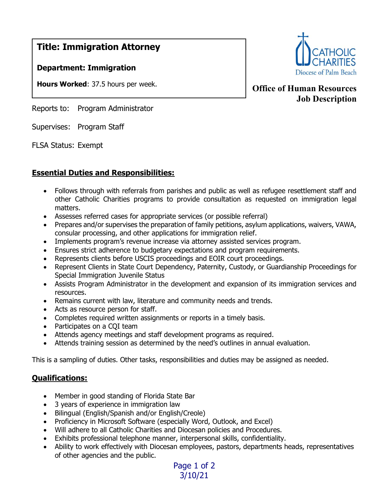# Title: Immigration Attorney

### Department: Immigration

Hours Worked: 37.5 hours per week.

Reports to: Program Administrator

Supervises: Program Staff

FLSA Status: Exempt

### Essential Duties and Responsibilities:

- Follows through with referrals from parishes and public as well as refugee resettlement staff and other Catholic Charities programs to provide consultation as requested on immigration legal matters.
- Assesses referred cases for appropriate services (or possible referral)
- Prepares and/or supervises the preparation of family petitions, asylum applications, waivers, VAWA, consular processing, and other applications for immigration relief.
- Implements program's revenue increase via attorney assisted services program.
- Ensures strict adherence to budgetary expectations and program requirements.
- Represents clients before USCIS proceedings and EOIR court proceedings.
- Represent Clients in State Court Dependency, Paternity, Custody, or Guardianship Proceedings for Special Immigration Juvenile Status
- Assists Program Administrator in the development and expansion of its immigration services and resources.
- Remains current with law, literature and community needs and trends.
- Acts as resource person for staff.
- Completes required written assignments or reports in a timely basis.
- Participates on a CQI team
- Attends agency meetings and staff development programs as required.
- Attends training session as determined by the need's outlines in annual evaluation.

This is a sampling of duties. Other tasks, responsibilities and duties may be assigned as needed.

### Qualifications:

- Member in good standing of Florida State Bar
- 3 years of experience in immigration law
- Bilingual (English/Spanish and/or English/Creole)
- Proficiency in Microsoft Software (especially Word, Outlook, and Excel)
- Will adhere to all Catholic Charities and Diocesan policies and Procedures.
- Exhibits professional telephone manner, interpersonal skills, confidentiality.
- Ability to work effectively with Diocesan employees, pastors, departments heads, representatives of other agencies and the public.



## Office of Human Resources Job Description